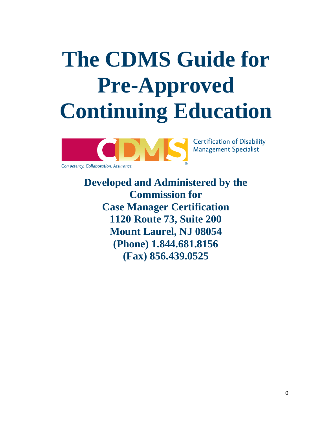# **The CDMS Guide for Pre-Approved Continuing Education**



**Developed and Administered by the Commission for Case Manager Certification 1120 Route 73, Suite 200 Mount Laurel, NJ 08054 (Phone) 1.844.681.8156 (Fax) 856.439.0525**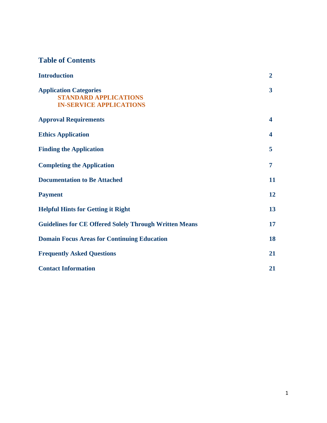# **Table of Contents**

| <b>Introduction</b>                                                                             | $\overline{2}$          |
|-------------------------------------------------------------------------------------------------|-------------------------|
| <b>Application Categories</b><br><b>STANDARD APPLICATIONS</b><br><b>IN-SERVICE APPLICATIONS</b> | $\overline{\mathbf{3}}$ |
| <b>Approval Requirements</b>                                                                    | 4                       |
| <b>Ethics Application</b>                                                                       | 4                       |
| <b>Finding the Application</b>                                                                  | 5                       |
| <b>Completing the Application</b>                                                               | 7                       |
| <b>Documentation to Be Attached</b>                                                             | 11                      |
| <b>Payment</b>                                                                                  | 12                      |
| <b>Helpful Hints for Getting it Right</b>                                                       | 13                      |
| <b>Guidelines for CE Offered Solely Through Written Means</b>                                   | 17                      |
| <b>Domain Focus Areas for Continuing Education</b>                                              | 18                      |
| <b>Frequently Asked Questions</b>                                                               | 21                      |
| <b>Contact Information</b>                                                                      | 21                      |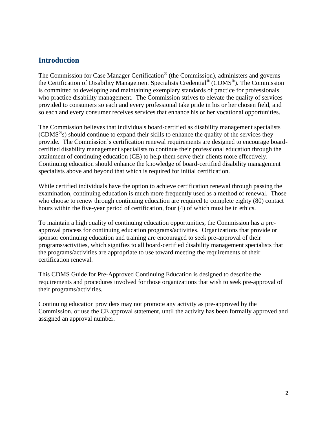## **Introduction**

The Commission for Case Manager Certification® (the Commission), administers and governs the Certification of Disability Management Specialists Credential® (CDMS®). The Commission is committed to developing and maintaining exemplary standards of practice for professionals who practice disability management. The Commission strives to elevate the quality of services provided to consumers so each and every professional take pride in his or her chosen field, and so each and every consumer receives services that enhance his or her vocational opportunities.

The Commission believes that individuals board-certified as disability management specialists (CDMS<sup>®</sup>s) should continue to expand their skills to enhance the quality of the services they provide. The Commission's certification renewal requirements are designed to encourage boardcertified disability management specialists to continue their professional education through the attainment of continuing education (CE) to help them serve their clients more effectively. Continuing education should enhance the knowledge of board-certified disability management specialists above and beyond that which is required for initial certification.

While certified individuals have the option to achieve certification renewal through passing the examination, continuing education is much more frequently used as a method of renewal. Those who choose to renew through continuing education are required to complete eighty (80) contact hours within the five-year period of certification, four (4) of which must be in ethics.

To maintain a high quality of continuing education opportunities, the Commission has a preapproval process for continuing education programs/activities. Organizations that provide or sponsor continuing education and training are encouraged to seek pre-approval of their programs/activities, which signifies to all board-certified disability management specialists that the programs/activities are appropriate to use toward meeting the requirements of their certification renewal.

This CDMS Guide for Pre-Approved Continuing Education is designed to describe the requirements and procedures involved for those organizations that wish to seek pre-approval of their programs/activities.

Continuing education providers may not promote any activity as pre-approved by the Commission, or use the CE approval statement, until the activity has been formally approved and assigned an approval number.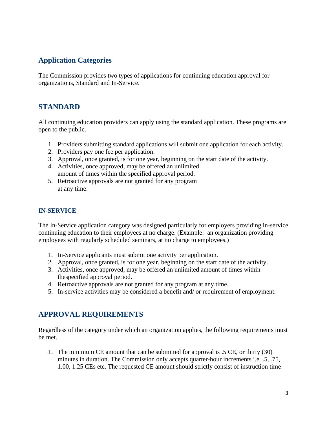# **Application Categories**

The Commission provides two types of applications for continuing education approval for organizations, Standard and In-Service.

# **STANDARD**

All continuing education providers can apply using the standard application. These programs are open to the public.

- 1. Providers submitting standard applications will submit one application for each activity.
- 2. Providers pay one fee per application.
- 3. Approval, once granted, is for one year, beginning on the start date of the activity.
- 4. Activities, once approved, may be offered an unlimited amount of times within the specified approval period.
- 5. Retroactive approvals are not granted for any program at any time.

## **IN-SERVICE**

The In-Service application category was designed particularly for employers providing in-service continuing education to their employees at no charge. (Example: an organization providing employees with regularly scheduled seminars, at no charge to employees.)

- 1. In-Service applicants must submit one activity per application.
- 2. Approval, once granted, is for one year, beginning on the start date of the activity.
- 3. Activities, once approved, may be offered an unlimited amount of times within thespecified approval period.
- 4. Retroactive approvals are not granted for any program at any time.
- 5. In-service activities may be considered a benefit and/ or requirement of employment.

# **APPROVAL REQUIREMENTS**

Regardless of the category under which an organization applies, the following requirements must be met.

1. The minimum CE amount that can be submitted for approval is .5 CE, or thirty (30) minutes in duration. The Commission only accepts quarter-hour increments i.e. .5, .75, 1.00, 1.25 CEs etc. The requested CE amount should strictly consist of instruction time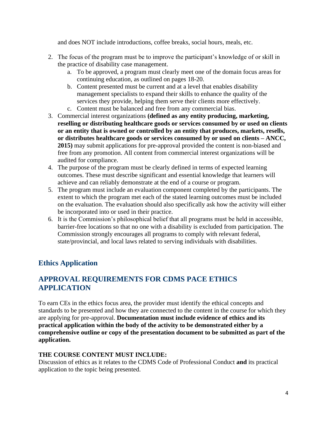and does NOT include introductions, coffee breaks, social hours, meals, etc.

- 2. The focus of the program must be to improve the participant's knowledge of or skill in the practice of disability case management.
	- a. To be approved, a program must clearly meet one of the domain focus areas for continuing education, as outlined on pages 18-20.
	- b. Content presented must be current and at a level that enables disability management specialists to expand their skills to enhance the quality of the services they provide, helping them serve their clients more effectively.
	- c. Content must be balanced and free from any commercial bias.
- 3. Commercial interest organizations **(defined as any entity producing, marketing, reselling or distributing healthcare goods or services consumed by or used on clients or an entity that is owned or controlled by an entity that produces, markets, resells, or distributes healthcare goods or services consumed by or used on clients – ANCC, 2015)** may submit applications for pre-approval provided the content is non-biased and free from any promotion. All content from commercial interest organizations will be audited for compliance.
- 4. The purpose of the program must be clearly defined in terms of expected learning outcomes. These must describe significant and essential knowledge that learners will achieve and can reliably demonstrate at the end of a course or program.
- 5. The program must include an evaluation component completed by the participants. The extent to which the program met each of the stated learning outcomes must be included on the evaluation. The evaluation should also specifically ask how the activity will either be incorporated into or used in their practice.
- 6. It is the Commission's philosophical belief that all programs must be held in accessible, barrier-free locations so that no one with a disability is excluded from participation. The Commission strongly encourages all programs to comply with relevant federal, state/provincial, and local laws related to serving individuals with disabilities.

# **Ethics Application**

# **APPROVAL REQUIREMENTS FOR CDMS PACE ETHICS APPLICATION**

To earn CEs in the ethics focus area, the provider must identify the ethical concepts and standards to be presented and how they are connected to the content in the course for which they are applying for pre-approval. **Documentation must include evidence of ethics and its practical application within the body of the activity to be demonstrated either by a comprehensive outline or copy of the presentation document to be submitted as part of the application.**

## **THE COURSE CONTENT MUST INCLUDE:**

Discussion of ethics as it relates to the CDMS Code of Professional Conduct **and** its practical application to the topic being presented.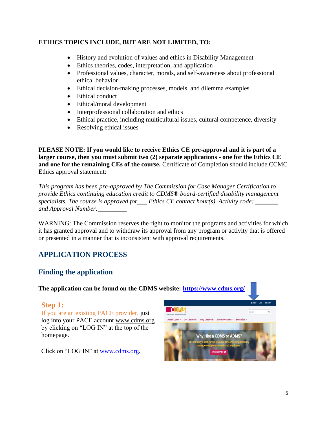## **ETHICS TOPICS INCLUDE, BUT ARE NOT LIMITED, TO:**

- History and evolution of values and ethics in Disability Management
- Ethics theories, codes, interpretation, and application
- Professional values, character, morals, and self-awareness about professional ethical behavior
- Ethical decision-making processes, models, and dilemma examples
- Ethical conduct
- Ethical/moral development
- Interprofessional collaboration and ethics
- Ethical practice, including multicultural issues, cultural competence, diversity
- Resolving ethical issues

**PLEASE NOTE: If you would like to receive Ethics CE pre-approval and it is part of a larger course, then you must submit two (2) separate applications - one for the Ethics CE and one for the remaining CEs of the course.** Certificate of Completion should include CCMC Ethics approval statement:

*This program has been pre-approved by The Commission for Case Manager Certification to provide Ethics continuing education credit to CDMS® board-certified disability management specialists. The course is approved for\_\_\_ Ethics CE contact hour(s). Activity code: \_\_\_\_\_\_\_ and Approval Number:\_\_\_\_\_\_\_\_\_*

WARNING: The Commission reserves the right to monitor the programs and activities for which it has granted approval and to withdraw its approval from any program or activity that is offered or presented in a manner that is inconsistent with approval requirements.

# **APPLICATION PROCESS**

# **Finding the application**

**The application can be found on the CDMS website:<https://www.cdms.org/>**

## **Step 1:**

If you are an existing PACE provider, just log into your PACE account [www.cdms.org](http://www.cdms.org/) by clicking on "LOG IN" at the top of the homepage.

Click on "LOG IN" at [www.cdms.org](http://www.cdms.org/)**.** 

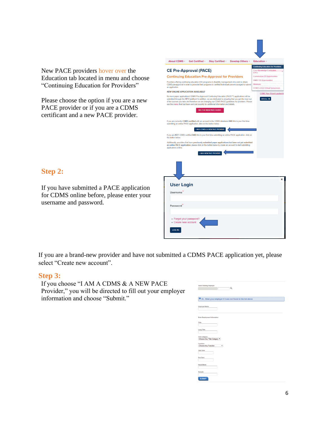New PACE providers hover over the Education tab located in menu and choose "Continuing Education for Providers"

Please choose the option if you are a new PACE provider or if you are a CDMS certificant and a new PACE provider.

| About CDMS -<br>Get Certified -<br>Stay Certified -<br>Develop Others -                                                                                                                                                                                                                                                                                                                                                                                                                                                                                                                                                                                                                                                                                                                                                                                                                                                                                                                                                                                                                                                      | <b>Education -</b>                                                                                                    |
|------------------------------------------------------------------------------------------------------------------------------------------------------------------------------------------------------------------------------------------------------------------------------------------------------------------------------------------------------------------------------------------------------------------------------------------------------------------------------------------------------------------------------------------------------------------------------------------------------------------------------------------------------------------------------------------------------------------------------------------------------------------------------------------------------------------------------------------------------------------------------------------------------------------------------------------------------------------------------------------------------------------------------------------------------------------------------------------------------------------------------|-----------------------------------------------------------------------------------------------------------------------|
| <b>CE Pre-Approval (PACE)</b><br><b>Continuing Education Pre-Approval for Providers</b>                                                                                                                                                                                                                                                                                                                                                                                                                                                                                                                                                                                                                                                                                                                                                                                                                                                                                                                                                                                                                                      | <b>Continuing Education for Providers</b><br>Core Knowledge Curriculum<br>(CKC)<br><b>Commission CE Opportunities</b> |
| Providers offering continuing education (CE) programs in disability management who wish to obtain<br>CDMS pre-approval in order to promote their programs to certified individuals are encouraged to submit<br>an application.                                                                                                                                                                                                                                                                                                                                                                                                                                                                                                                                                                                                                                                                                                                                                                                                                                                                                               | <b>DMEC CE Opportunities</b><br><b>Webinars Workpla</b><br>CCMC's 2022 Virtual Symposium                              |
| <b>NEW ONLINE APPLICATION AVAILABLE!</b><br>No more paper applications! CDMS Pre-Approved Continuing Education (PACE™) applications will be<br>submitted through the NEW platform! In addition, we are dedicated to ensuring that you get the most out<br>of the courses you take and therefore we are changing our CDMS PACE guidelines for providers. Please<br>see the memo that had been sent out recently for additional information and details.<br>SEE THE NEW PACE GUIDE!<br>If you are currently CDMS certified with an account in the CDMS database AND this is your first time<br>submitting an online PACE application, click on the button below.<br><b>I AM A CDMS &amp; A NEW PACE PROVIDER</b><br>If you are NOT CDMS certified AND this is your first time submitting an online PACE application, click on<br>the button below.<br>Additionally, providers that have previously submitted paper applications but have not yet submitted<br>an online PACE application, please click on the button below to create an account to start submitting<br>applications online.<br><b>I AM A NEW PACE PROVIDER</b> | <b>CCMC New Board Leadership</b><br>VIEW ALL O                                                                        |
|                                                                                                                                                                                                                                                                                                                                                                                                                                                                                                                                                                                                                                                                                                                                                                                                                                                                                                                                                                                                                                                                                                                              |                                                                                                                       |
| <b>User Login</b><br>Username                                                                                                                                                                                                                                                                                                                                                                                                                                                                                                                                                                                                                                                                                                                                                                                                                                                                                                                                                                                                                                                                                                | ×                                                                                                                     |
| Password<br>· Forgot your password?<br>• Create new account<br><b>LOG IN</b>                                                                                                                                                                                                                                                                                                                                                                                                                                                                                                                                                                                                                                                                                                                                                                                                                                                                                                                                                                                                                                                 |                                                                                                                       |

# **Step 2:**

If you have submitted a PACE application for CDMS online before, please enter your username and password.

If you are a brand-new provider and have not submitted a CDMS PACE application yet, please select "Create new account".

## **Step 3:**

If you choose "I AM A CDMS & A NEW PACE Provider," you will be directed to fill out your employer information and choose "Submit."

| <b>Select Existing Employer</b><br>Q                            |
|-----------------------------------------------------------------|
| O Or  Enter your employer if it was not found in the list above |
| <b>Employer Name:</b>                                           |
| <b>Enter Employment Information</b>                             |
| <b>Title:</b>                                                   |
| <b>Long Title:</b><br><b>Title Category:</b>                    |
| Choose Any Title Category                                       |
| <b>Function:</b><br>Choose Any Function<br>٠                    |
| <b>Start Date:</b>                                              |
| <b>End Date:</b>                                                |
| Hours/Week:                                                     |
| <b>Remark:</b>                                                  |
| <b>SUBMIT</b>                                                   |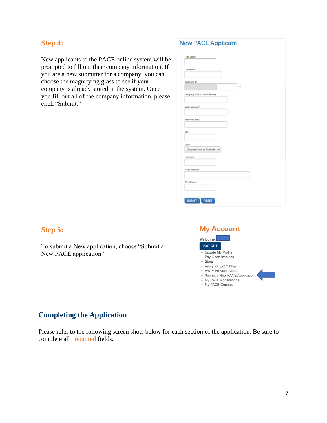## **Step 4:**

New applicants to the PACE online system will be prompted to fill out their company information. If you are a new submitter for a company, you can choose the magnifying glass to see if your company is already stored in the system. Once you fill out all of the company information, please click "Submit."

#### **New PACE Applicant**

| First Name*                  |
|------------------------------|
| Last Name*                   |
| Company ID<br>Q              |
| Company (If Not Found Above) |
| Address Line 1*              |
| Address Line 2               |
| City*                        |
| State*                       |
| Choose a State or Province   |
| Zip Code*                    |
| <b>Email Address*</b>        |
| <b>Work Phone*</b>           |
|                              |
| <b>SUBMIT</b><br>RESET<br>п  |

# **Step 5:**

To submit a New application, choose "Submit a New PACE application"



# **Completing the Application**

Please refer to the following screen shots below for each section of the application. Be sure to complete all \*required fields.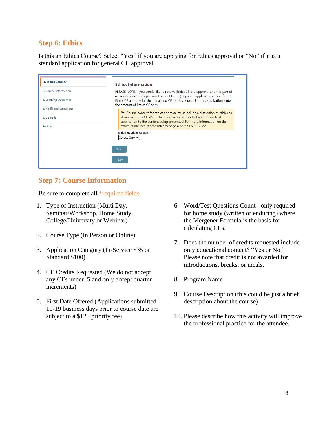## **Step 6: Ethics**

Is this an Ethics Course? Select "Yes" if you are applying for Ethics approval or "No" if it is a standard application for general CE approval.

| 1. Ethics Course?       | <b>Ethics Information</b>                                                                                                                                                                                                                                                                       |  |
|-------------------------|-------------------------------------------------------------------------------------------------------------------------------------------------------------------------------------------------------------------------------------------------------------------------------------------------|--|
| 2. Course Information   | PLEASE NOTE: If you would like to receive Ethics CE pre-approval and it is part of<br>a larger course, then you must submit two (2) separate applications - one for the<br>Ethics CE and one for the remaining CE for this course. For this application, enter<br>the amount of Ethics CE only. |  |
| 3. Learning Outcomes    |                                                                                                                                                                                                                                                                                                 |  |
| 4. Additional Questions |                                                                                                                                                                                                                                                                                                 |  |
| 5. Uploads              | ► Course content for ethics approval must include a discussion of ethics as<br>it relates to the CDMS Code of Professional Conduct and its practical<br>application to the content being presented. For more information on the                                                                 |  |
| Review                  | ethics quidelines, please refer to page 4 of the PACE Guide.                                                                                                                                                                                                                                    |  |
|                         | Is this an Ethics Course?*<br>Select One Y                                                                                                                                                                                                                                                      |  |
|                         | Save                                                                                                                                                                                                                                                                                            |  |
|                         | Reset                                                                                                                                                                                                                                                                                           |  |

## **Step 7: Course Information**

Be sure to complete all \*required fields.

- 1. Type of Instruction (Multi Day, Seminar/Workshop, Home Study, College/University or Webinar)
- 2. Course Type (In Person or Online)
- 3. Application Category (In-Service \$35 or Standard \$100)
- 4. CE Credits Requested (We do not accept any CEs under .5 and only accept quarter increments)
- 5. First Date Offered (Applications submitted 10-19 business days prior to course date are subject to a \$125 priority fee)
- 6. Word/Test Questions Count only required for home study (written or enduring) where the Mergener Formula is the basis for calculating CEs.
- 7. Does the number of credits requested include only educational content? "Yes or No." Please note that credit is not awarded for introductions, breaks, or meals.
- 8. Program Name
- 9. Course Description (this could be just a brief description about the course)
- 10. Please describe how this activity will improve the professional practice for the attendee.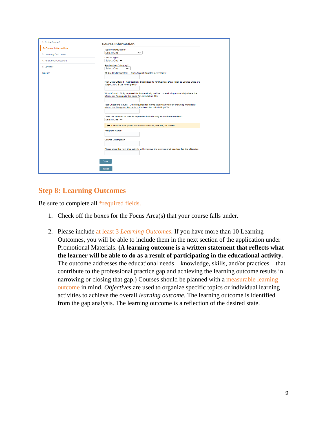| 1. Ethics Course?       | <b>Course Information</b>                                                                                                                          |
|-------------------------|----------------------------------------------------------------------------------------------------------------------------------------------------|
| 2. Course Information   | Type of Instruction*                                                                                                                               |
| 3. Learning Outcomes    | <b>Select One</b><br>$\check{ }$                                                                                                                   |
| 4. Additional Questions | Course Type*<br>Select One ↓                                                                                                                       |
| 5. Uploads              | <b>Application Category*</b><br><b>Select One</b><br>$\check{ }$                                                                                   |
| Review                  | CE Credits Requested -- Only Accept Quarter Increments*                                                                                            |
|                         | First Date Offered - Applications Submitted 10-19 Business Days Prior to Course Date are<br>Subject to a \$125 Priority Fee*                       |
|                         | Word Count - Only required for home study (written or enduring materials) where the<br>Mergener Formula is the basis for calculating CEs           |
|                         | Test Questions Count - Only required for home study (written or enduring materials)<br>where the Mergener Formula is the basis for calculating CEs |
|                         | Does the number of credits requested include only educational content?*<br>Select One V                                                            |
|                         | I <sup>■</sup> Credit is not given for introductions, breaks, or meals.                                                                            |
|                         | Program Name*                                                                                                                                      |
|                         | <b>Course Description</b>                                                                                                                          |
|                         | Please describe how this activity will improve the professional practice for the attendee                                                          |
|                         | Save                                                                                                                                               |
|                         | Reset                                                                                                                                              |

# **Step 8: Learning Outcomes**

Be sure to complete all \*required fields.

- 1. Check off the boxes for the Focus Area(s) that your course falls under.
- 2. Please include at least 3 *Learning Outcomes*. If you have more than 10 Learning Outcomes, you will be able to include them in the next section of the application under Promotional Materials. **(A learning outcome is a written statement that reflects what the learner will be able to do as a result of participating in the educational activity.** The outcome addresses the educational needs – knowledge, skills, and/or practices – that contribute to the professional practice gap and achieving the learning outcome results in narrowing or closing that gap.) Courses should be planned with a measurable learning outcome in mind. *Objectives* are used to organize specific topics or individual learning activities to achieve the overall *learning outcome*. The learning outcome is identified from the gap analysis. The learning outcome is a reflection of the desired state.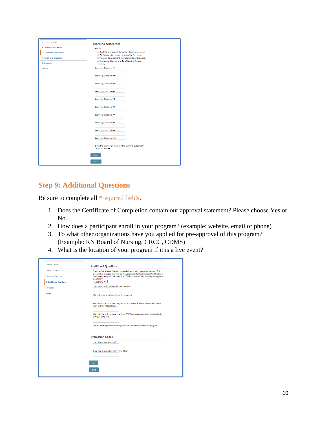| 1. Ethics Course?       | <b>Learning Outcomes</b>                                                |
|-------------------------|-------------------------------------------------------------------------|
| 2. Course Information   | Focus*                                                                  |
| 3. Learning Outcomes    | Disability and Work Interruption Case Management                        |
|                         | O Workplace Intervention for Disability Prevention                      |
| 4. Additional Questions | Program Development, Management and Evaluation                          |
| 5. Uploads              | Employment Leaves and Benefits Administration                           |
|                         | $\Box$ Ethics                                                           |
| Review                  | Learning Outcome #1*                                                    |
|                         |                                                                         |
|                         | Learning Outcome #2*                                                    |
|                         |                                                                         |
|                         | Learning Outcome #3*                                                    |
|                         |                                                                         |
|                         |                                                                         |
|                         | Learning Outcome #4                                                     |
|                         |                                                                         |
|                         | Learning Outcome #5                                                     |
|                         |                                                                         |
|                         |                                                                         |
|                         | Learning Outcome #6                                                     |
|                         |                                                                         |
|                         | Learning Outcome #7                                                     |
|                         |                                                                         |
|                         | Learning Outcome #8                                                     |
|                         |                                                                         |
|                         |                                                                         |
|                         | Learning Outcome #9                                                     |
|                         |                                                                         |
|                         | Learning Outcome #10                                                    |
|                         |                                                                         |
|                         |                                                                         |
|                         | Does the evaluation measure the learning outcome?"<br>Select One $\vee$ |
|                         |                                                                         |
|                         | Save                                                                    |
|                         |                                                                         |
|                         | <b>Reset</b>                                                            |
|                         |                                                                         |

# **Step 9: Additional Questions**

Be sure to complete all \*required fields.

- 1. Does the Certificate of Completion contain our approval statement? Please choose Yes or No.
- 2. How does a participant enroll in your program? (example: website, email or phone)
- 3. To what other organizations have you applied for pre-approval of this program? (Example: RN Board of Nursing, CRCC, CDMS)
- 4. What is the location of your program if it is a live event?

| 1. Ethics Course?              | <b>Additional Questions</b>                                                                                                                                                               |
|--------------------------------|-------------------------------------------------------------------------------------------------------------------------------------------------------------------------------------------|
| 2. Course Information          | Does the Certificate of Completion contain the following approval statement: "This                                                                                                        |
| 3. Learning Outcomes           | program has been pre-approved by The Commission for Case Manager Certification to<br>provide continuing education credit to CDMS® board-certified disability management<br>specialists."* |
| <b>4. Additional Questions</b> | Select One ↓                                                                                                                                                                              |
| 5. Uploads                     | How does a participant enroll in your program?*                                                                                                                                           |
|                                | What is the fee to participants for the program?                                                                                                                                          |
|                                | What is the location of your program if it is a live event? Please enter N/A for home<br>study and internet programs."                                                                    |
|                                | What value/benefit do you receive from CDMS pre approval continuing education for<br>providers program?                                                                                   |
|                                | To what other organizations have you applied for pre-approval of this program?*                                                                                                           |
|                                | <b>Promotion Codes</b>                                                                                                                                                                    |
|                                | How did you hear about us?                                                                                                                                                                |
|                                | If you have a promotion code, enter it here:                                                                                                                                              |
|                                | Save                                                                                                                                                                                      |
|                                | Reset                                                                                                                                                                                     |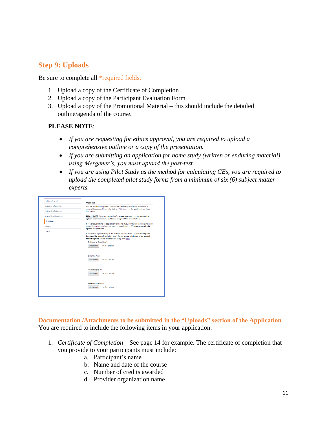# **Step 9: Uploads**

Be sure to complete all \*required fields.

- 1. Upload a copy of the Certificate of Completion
- 2. Upload a copy of the Participant Evaluation Form
- 3. Upload a copy of the Promotional Material this should include the detailed outline/agenda of the course.

## **PLEASE NOTE**:

- *If you are requesting for ethics approval, you are required to upload a comprehensive outline or a copy of the presentation.*
- *If you are submitting an application for home study (written or enduring material) using Mergener's, you must upload the post-test.*
- *If you are using Pilot Study as the method for calculating CEs, you are required to upload the completed pilot study forms from a minimum of six (6) subject matter experts.*

| 1. Ethics Course?       | <b>Uploads</b>                                                                                                                                                                               |
|-------------------------|----------------------------------------------------------------------------------------------------------------------------------------------------------------------------------------------|
| 2. Course Information   | You are required to upload a copy of the certificate, evaluation, promotional<br>material & agenda. Please refer to the PACE Guide for the quidelines for these                              |
| 3. Learning Outcomes    | documents.                                                                                                                                                                                   |
| 4. Additional Questions | PLEASE NOTE: If you are requesting for ethics approval, you are required to<br>upload a comprehensive outline or a copy of the presentation.                                                 |
| 5. Uploads              |                                                                                                                                                                                              |
| Review                  | If you are submitting an application for home study (written or enduring material)<br>using Mergener formula as the method for calculating CEs, you are required to<br>upload the post-test. |
| Status                  |                                                                                                                                                                                              |
|                         | If you are using Pilot Study as the method for calculating CEs, you are required<br>to upload the completed pilot study forms from a minimum of six subject                                  |
|                         | matter experts. Please find the Pilot Study form here.                                                                                                                                       |
|                         | Certificate of Completion*                                                                                                                                                                   |
|                         | No file chosen.<br><b>Choose File</b>                                                                                                                                                        |
|                         | <b>Evaluation Form*</b>                                                                                                                                                                      |
|                         | No file chosen<br>Choose File                                                                                                                                                                |
|                         | Promo Material #1*                                                                                                                                                                           |
|                         | No file chosen<br><b>Choose File</b>                                                                                                                                                         |
|                         | Additional Material #1                                                                                                                                                                       |
|                         | No file chosen<br><b>Choose File</b>                                                                                                                                                         |

**Documentation /Attachments to be submitted in the "Uploads" section of the Application** You are required to include the following items in your application:

- 1. *Certificate of Completion* See page 14 for example. The certificate of completion that you provide to your participants must include:
	- a. Participant's name
	- b. Name and date of the course
	- c. Number of credits awarded
	- d. Provider organization name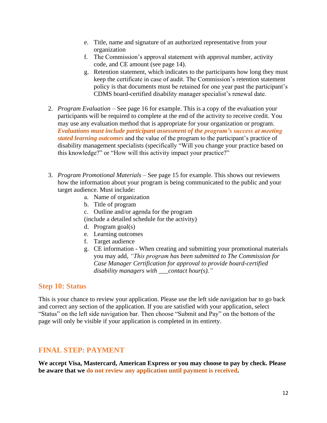- e. Title, name and signature of an authorized representative from your organization
- f. The Commission's approval statement with approval number, activity code, and CE amount (see page 14).
- g. Retention statement, which indicates to the participants how long they must keep the certificate in case of audit. The Commission's retention statement policy is that documents must be retained for one year past the participant's CDMS board-certified disability manager specialist's renewal date.
- 2. *Program Evaluation* See page 16 for example. This is a copy of the evaluation your participants will be required to complete at the end of the activity to receive credit. You may use any evaluation method that is appropriate for your organization or program. *Evaluations must include participant assessment of the program's success at meeting stated learning outcomes* and the value of the program to the participant's practice of disability management specialists (specifically "Will you change your practice based on this knowledge?" or "How will this activity impact your practice?"
- 3. *Program Promotional Materials* See page 15 for example. This shows our reviewers how the information about your program is being communicated to the public and your target audience. Must include:
	- a. Name of organization
	- b. Title of program
	- c. Outline and/or agenda for the program
	- (include a detailed schedule for the activity)
	- d. Program goal(s)
	- e. Learning outcomes
	- f. Target audience
	- g. CE information When creating and submitting your promotional materials you may add, *"This program has been submitted to The Commission for Case Manager Certification for approval to provide board-certified disability managers with \_\_\_contact hour(s)."*

## **Step 10: Status**

This is your chance to review your application. Please use the left side navigation bar to go back and correct any section of the application. If you are satisfied with your application, select "Status" on the left side navigation bar. Then choose "Submit and Pay" on the bottom of the page will only be visible if your application is completed in its entirety.

## **FINAL STEP: PAYMENT**

**We accept Visa, Mastercard, American Express or you may choose to pay by check. Please be aware that we do not review any application until payment is received.**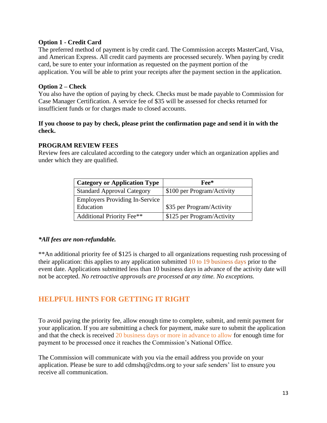#### **Option 1 - Credit Card**

The preferred method of payment is by credit card. The Commission accepts MasterCard, Visa, and American Express. All credit card payments are processed securely. When paying by credit card, be sure to enter your information as requested on the payment portion of the application. You will be able to print your receipts after the payment section in the application.

#### **Option 2 – Check**

You also have the option of paying by check. Checks must be made payable to Commission for Case Manager Certification. A service fee of \$35 will be assessed for checks returned for insufficient funds or for charges made to closed accounts.

#### **If you choose to pay by check, please print the confirmation page and send it in with the check.**

#### **PROGRAM REVIEW FEES**

Review fees are calculated according to the category under which an organization applies and under which they are qualified.

| <b>Category or Application Type</b>   | Fee*                       |
|---------------------------------------|----------------------------|
| <b>Standard Approval Category</b>     | \$100 per Program/Activity |
| <b>Employers Providing In-Service</b> |                            |
| Education                             | \$35 per Program/Activity  |
| <b>Additional Priority Fee**</b>      | \$125 per Program/Activity |

## *\*All fees are non-refundable.*

\*\*An additional priority fee of \$125 is charged to all organizations requesting rush processing of their application: this applies to any application submitted 10 to 19 business days prior to the event date. Applications submitted less than 10 business days in advance of the activity date will not be accepted. *No retroactive approvals are processed at any time. No exceptions.*

# **HELPFUL HINTS FOR GETTING IT RIGHT**

To avoid paying the priority fee, allow enough time to complete, submit, and remit payment for your application. If you are submitting a check for payment, make sure to submit the application and that the check is received 20 business days or more in advance to allow for enough time for payment to be processed once it reaches the Commission's National Office.

The Commission will communicate with you via the email address you provide on your application. Please be sure to add cdmshq@cdms.org to your safe senders' list to ensure you receive all communication.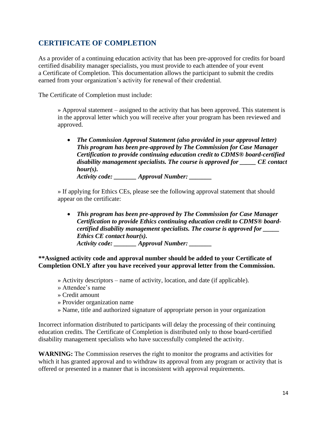# **CERTIFICATE OF COMPLETION**

As a provider of a continuing education activity that has been pre-approved for credits for board certified disability manager specialists, you must provide to each attendee of your event a Certificate of Completion. This documentation allows the participant to submit the credits earned from your organization's activity for renewal of their credential.

The Certificate of Completion must include:

» Approval statement – assigned to the activity that has been approved. This statement is in the approval letter which you will receive after your program has been reviewed and approved.

• *The Commission Approval Statement (also provided in your approval letter) This program has been pre-approved by The Commission for Case Manager Certification to provide continuing education credit to CDMS® board-certified disability management specialists. The course is approved for \_\_\_\_\_ CE contact hour(s).*

*Activity code: \_\_\_\_\_\_\_ Approval Number: \_\_\_\_\_\_\_*

» If applying for Ethics CEs, please see the following approval statement that should appear on the certificate:

• *This program has been pre-approved by The Commission for Case Manager Certification to provide Ethics continuing education credit to CDMS® boardcertified disability management specialists. The course is approved for \_\_\_\_\_ Ethics CE contact hour(s). Activity code: \_\_\_\_\_\_\_ Approval Number: \_\_\_\_\_\_\_*

**\*\*Assigned activity code and approval number should be added to your Certificate of Completion ONLY after you have received your approval letter from the Commission.**

- » Activity descriptors name of activity, location, and date (if applicable).
- » Attendee's name
- » Credit amount
- » Provider organization name
- » Name, title and authorized signature of appropriate person in your organization

Incorrect information distributed to participants will delay the processing of their continuing education credits. The Certificate of Completion is distributed only to those board-certified disability management specialists who have successfully completed the activity.

**WARNING:** The Commission reserves the right to monitor the programs and activities for which it has granted approval and to withdraw its approval from any program or activity that is offered or presented in a manner that is inconsistent with approval requirements.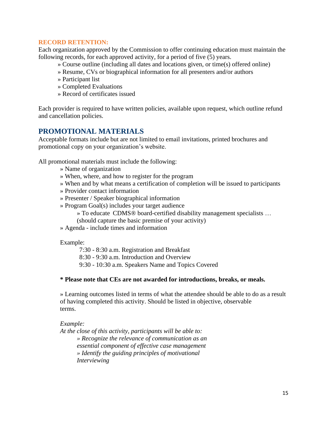#### **RECORD RETENTION:**

Each organization approved by the Commission to offer continuing education must maintain the following records, for each approved activity, for a period of five (5) years.

- » Course outline (including all dates and locations given, or time(s) offered online)
- » Resume, CVs or biographical information for all presenters and/or authors
- » Participant list
- » Completed Evaluations
- » Record of certificates issued

Each provider is required to have written policies, available upon request, which outline refund and cancellation policies.

## **PROMOTIONAL MATERIALS**

Acceptable formats include but are not limited to email invitations, printed brochures and promotional copy on your organization's website.

All promotional materials must include the following:

- » Name of organization
- » When, where, and how to register for the program
- » When and by what means a certification of completion will be issued to participants
- » Provider contact information
- » Presenter / Speaker biographical information
- » Program Goal(s) includes your target audience
	- » To educate CDMS® board-certified disability management specialists …
	- (should capture the basic premise of your activity)
- » Agenda include times and information

Example:

7:30 - 8:30 a.m. Registration and Breakfast

- 8:30 9:30 a.m. Introduction and Overview
- 9:30 10:30 a.m. Speakers Name and Topics Covered

#### **\* Please note that CEs are not awarded for introductions, breaks, or meals.**

» Learning outcomes listed in terms of what the attendee should be able to do as a result of having completed this activity. Should be listed in objective, observable terms.

#### *Example:*

*At the close of this activity, participants will be able to: » Recognize the relevance of communication as an essential component of effective case management » Identify the guiding principles of motivational Interviewing*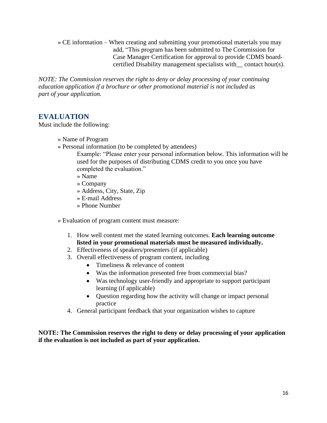» CE information – When creating and submitting your promotional materials you may add, "This program has been submitted to The Commission for Case Manager Certification for approval to provide CDMS boardcertified Disability management specialists with\_\_ contact hour(s).

*NOTE: The Commission reserves the right to deny or delay processing of your continuing education application if a brochure or other promotional material is not included as part of your application.*

## **EVALUATION**

Must include the following:

- » Name of Program
- » Personal information (to be completed by attendees)

Example: "Please enter your personal information below. This information will be used for the purposes of distributing CDMS credit to you once you have completed the evaluation."

- » Name
- » Company
- » Address, City, State, Zip
- » E-mail Address
- » Phone Number

» Evaluation of program content must measure:

- 1. How well content met the stated learning outcomes. **Each learning outcome listed in your promotional materials must be measured individually.**
- 2. Effectiveness of speakers/presenters (if applicable)
- 3. Overall effectiveness of program content, including
	- Timeliness & relevance of content
	- Was the information presented free from commercial bias?
	- Was technology user-friendly and appropriate to support participant learning (if applicable)
	- Question regarding how the activity will change or impact personal practice
- 4. General participant feedback that your organization wishes to capture

**NOTE: The Commission reserves the right to deny or delay processing of your application if the evaluation is not included as part of your application.**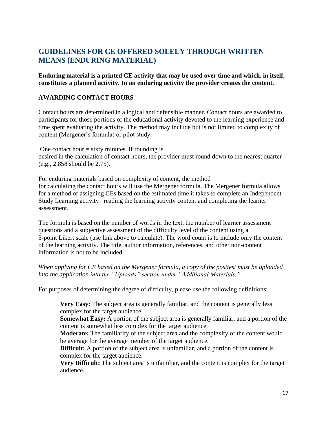# **GUIDELINES FOR CE OFFERED SOLELY THROUGH WRITTEN MEANS (ENDURING MATERIAL)**

**Enduring material is a printed CE activity that may be used over time and which, in itself, constitutes a planned activity. In an enduring activity the provider creates the content.**

#### **AWARDING CONTACT HOURS**

Contact hours are determined in a logical and defensible manner. Contact hours are awarded to participants for those portions of the educational activity devoted to the learning experience and time spent evaluating the activity. The method may include but is not limited to complexity of content (Mergener's formula) or pilot study.

One contact hour  $=$  sixty minutes. If rounding is desired in the calculation of contact hours, the provider must round down to the nearest quarter (e.g., 2.858 should be 2.75).

For enduring materials based on complexity of content, the method for calculating the contact hours will use the Mergener formula. The Mergener formula allows for a method of assigning CEs based on the estimated time it takes to complete an Independent Study Learning activity– reading the learning activity content and completing the learner assessment.

The formula is based on the number of words in the text, the number of learner assessment questions and a subjective assessment of the difficulty level of the content using a 5-point Likert scale (use link above to calculate). The word count is to include only the content of the learning activity. The title, author information, references, and other non-content information is not to be included.

#### *When applying for CE based on the Mergener formula, a copy of the posttest must be uploaded into the application into the "Uploads" section under "Additional Materials."*

For purposes of determining the degree of difficulty, please use the following definitions:

**Very Easy:** The subject area is generally familiar, and the content is generally less complex for the target audience.

**Somewhat Easy:** A portion of the subject area is generally familiar, and a portion of the content is somewhat less complex for the target audience.

**Moderate:** The familiarity of the subject area and the complexity of the content would be average for the average member of the target audience.

**Difficult:** A portion of the subject area is unfamiliar, and a portion of the content is complex for the target audience.

**Very Difficult:** The subject area is unfamiliar, and the content is complex for the target audience.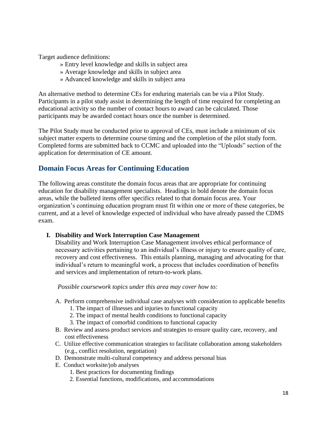Target audience definitions:

- » Entry level knowledge and skills in subject area
- » Average knowledge and skills in subject area
- » Advanced knowledge and skills in subject area

An alternative method to determine CEs for enduring materials can be via a Pilot Study. Participants in a pilot study assist in determining the length of time required for completing an educational activity so the number of contact hours to award can be calculated. Those participants may be awarded contact hours once the number is determined.

The Pilot Study must be conducted prior to approval of CEs, must include a minimum of six subject matter experts to determine course timing and the completion of the pilot study form. Completed forms are submitted back to CCMC and uploaded into the "Uploads" section of the application for determination of CE amount.

# **Domain Focus Areas for Continuing Education**

The following areas constitute the domain focus areas that are appropriate for continuing education for disability management specialists. Headings in bold denote the domain focus areas, while the bulleted items offer specifics related to that domain focus area. Your organization's continuing education program must fit within one or more of these categories, be current, and at a level of knowledge expected of individual who have already passed the CDMS exam.

## **I. Disability and Work Interruption Case Management**

Disability and Work Interruption Case Management involves ethical performance of necessary activities pertaining to an individual's illness or injury to ensure quality of care, recovery and cost effectiveness. This entails planning, managing and advocating for that individual's return to meaningful work, a process that includes coordination of benefits and services and implementation of return-to-work plans.

#### *Possible coursework topics under this area may cover how to:*

- A. Perform comprehensive individual case analyses with consideration to applicable benefits
	- 1. The impact of illnesses and injuries to functional capacity
	- 2. The impact of mental health conditions to functional capacity
	- 3. The impact of comorbid conditions to functional capacity
- B. Review and assess product services and strategies to ensure quality care, recovery, and cost effectiveness
- C. Utilize effective communication strategies to facilitate collaboration among stakeholders (e.g., conflict resolution, negotiation)
- D. Demonstrate multi-cultural competency and address personal bias
- E. Conduct worksite/job analyses
	- 1. Best practices for documenting findings
	- 2. Essential functions, modifications, and accommodations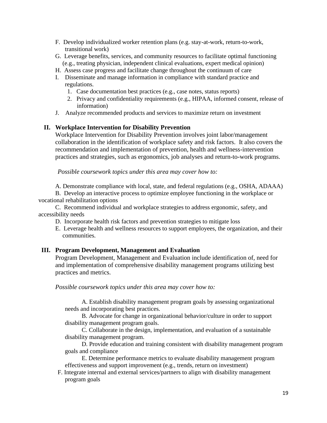- F. Develop individualized worker retention plans (e.g. stay-at-work, return-to-work, transitional work)
- G. Leverage benefits, services, and community resources to facilitate optimal functioning (e.g., treating physician, independent clinical evaluations, expert medical opinion)
- H. Assess case progress and facilitate change throughout the continuum of care
- I. Disseminate and manage information in compliance with standard practice and regulations.
	- 1. Case documentation best practices (e.g., case notes, status reports)
	- 2. Privacy and confidentiality requirements (e.g., HIPAA, informed consent, release of information)
- J. Analyze recommended products and services to maximize return on investment

#### **II. Workplace Intervention for Disability Prevention**

Workplace Intervention for Disability Prevention involves joint labor/management collaboration in the identification of workplace safety and risk factors. It also covers the recommendation and implementation of prevention, health and wellness-intervention practices and strategies, such as ergonomics, job analyses and return-to-work programs.

*Possible coursework topics under this area may cover how to:*

A. Demonstrate compliance with local, state, and federal regulations (e.g., OSHA, ADAAA)

B. Develop an interactive process to optimize employee functioning in the workplace or vocational rehabilitation options

C. Recommend individual and workplace strategies to address ergonomic, safety, and accessibility needs

- D. Incorporate health risk factors and prevention strategies to mitigate loss
- E. Leverage health and wellness resources to support employees, the organization, and their communities.

#### **III. Program Development, Management and Evaluation**

Program Development, Management and Evaluation include identification of, need for and implementation of comprehensive disability management programs utilizing best practices and metrics.

*Possible coursework topics under this area may cover how to:*

A. Establish disability management program goals by assessing organizational needs and incorporating best practices.

B. Advocate for change in organizational behavior/culture in order to support disability management program goals.

C. Collaborate in the design, implementation, and evaluation of a sustainable disability management program.

D. Provide education and training consistent with disability management program goals and compliance

E. Determine performance metrics to evaluate disability management program effectiveness and support improvement (e.g., trends, return on investment)

F. Integrate internal and external services/partners to align with disability management program goals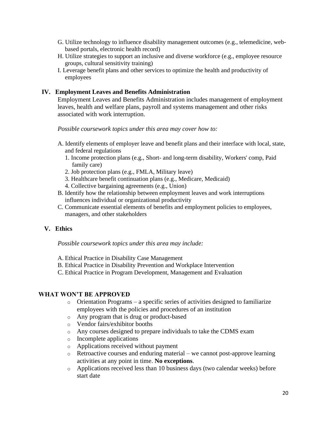- G. Utilize technology to influence disability management outcomes (e.g., telemedicine, webbased portals, electronic health record)
- H. Utilize strategies to support an inclusive and diverse workforce (e.g., employee resource groups, cultural sensitivity training)
- I. Leverage benefit plans and other services to optimize the health and productivity of employees

#### **IV. Employment Leaves and Benefits Administration**

Employment Leaves and Benefits Administration includes management of employment leaves, health and welfare plans, payroll and systems management and other risks associated with work interruption.

*Possible coursework topics under this area may cover how to:*

- A. Identify elements of employer leave and benefit plans and their interface with local, state, and federal regulations
	- 1. Income protection plans (e.g., Short- and long-term disability, Workers' comp, Paid family care)
	- 2. Job protection plans (e.g., FMLA, Military leave)
	- 3. Healthcare benefit continuation plans (e.g., Medicare, Medicaid)
	- 4. Collective bargaining agreements (e.g., Union)
- B. Identify how the relationship between employment leaves and work interruptions influences individual or organizational productivity
- C. Communicate essential elements of benefits and employment policies to employees, managers, and other stakeholders

#### **V. Ethics**

*Possible coursework topics under this area may include:*

- A. Ethical Practice in Disability Case Management
- B. Ethical Practice in Disability Prevention and Workplace Intervention
- C. Ethical Practice in Program Development, Management and Evaluation

#### **WHAT WON'T BE APPROVED**

- $\circ$  Orientation Programs a specific series of activities designed to familiarize employees with the policies and procedures of an institution
- o Any program that is drug or product-based
- o Vendor fairs/exhibitor booths
- o Any courses designed to prepare individuals to take the CDMS exam
- o Incomplete applications
- o Applications received without payment
- o Retroactive courses and enduring material we cannot post-approve learning activities at any point in time. **No exceptions**.
- o Applications received less than 10 business days (two calendar weeks) before start date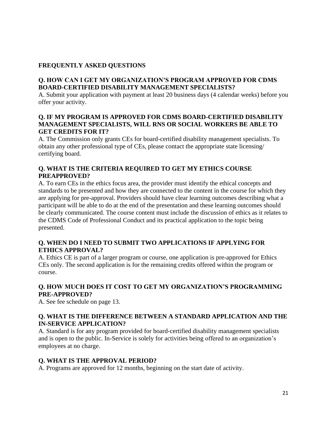## **FREQUENTLY ASKED QUESTIONS**

## **Q. HOW CAN I GET MY ORGANIZATION'S PROGRAM APPROVED FOR CDMS BOARD-CERTIFIED DISABILITY MANAGEMENT SPECIALISTS?**

A. Submit your application with payment at least 20 business days (4 calendar weeks) before you offer your activity.

#### **Q. IF MY PROGRAM IS APPROVED FOR CDMS BOARD-CERTIFIED DISABILITY MANAGEMENT SPECIALISTS, WILL RNS OR SOCIAL WORKERS BE ABLE TO GET CREDITS FOR IT?**

A. The Commission only grants CEs for board-certified disability management specialists. To obtain any other professional type of CEs, please contact the appropriate state licensing/ certifying board.

## **Q. WHAT IS THE CRITERIA REQUIRED TO GET MY ETHICS COURSE PREAPPROVED?**

A. To earn CEs in the ethics focus area, the provider must identify the ethical concepts and standards to be presented and how they are connected to the content in the course for which they are applying for pre-approval. Providers should have clear learning outcomes describing what a participant will be able to do at the end of the presentation and these learning outcomes should be clearly communicated. The course content must include the discussion of ethics as it relates to the CDMS Code of Professional Conduct and its practical application to the topic being presented.

## **Q. WHEN DO I NEED TO SUBMIT TWO APPLICATIONS IF APPLYING FOR ETHICS APPROVAL?**

A. Ethics CE is part of a larger program or course, one application is pre-approved for Ethics CEs only. The second application is for the remaining credits offered within the program or course.

## **Q. HOW MUCH DOES IT COST TO GET MY ORGANIZATION'S PROGRAMMING PRE-APPROVED?**

A. See fee schedule on page 13.

## **Q. WHAT IS THE DIFFERENCE BETWEEN A STANDARD APPLICATION AND THE IN-SERVICE APPLICATION?**

A. Standard is for any program provided for board-certified disability management specialists and is open to the public. In-Service is solely for activities being offered to an organization's employees at no charge.

## **Q. WHAT IS THE APPROVAL PERIOD?**

A. Programs are approved for 12 months, beginning on the start date of activity.